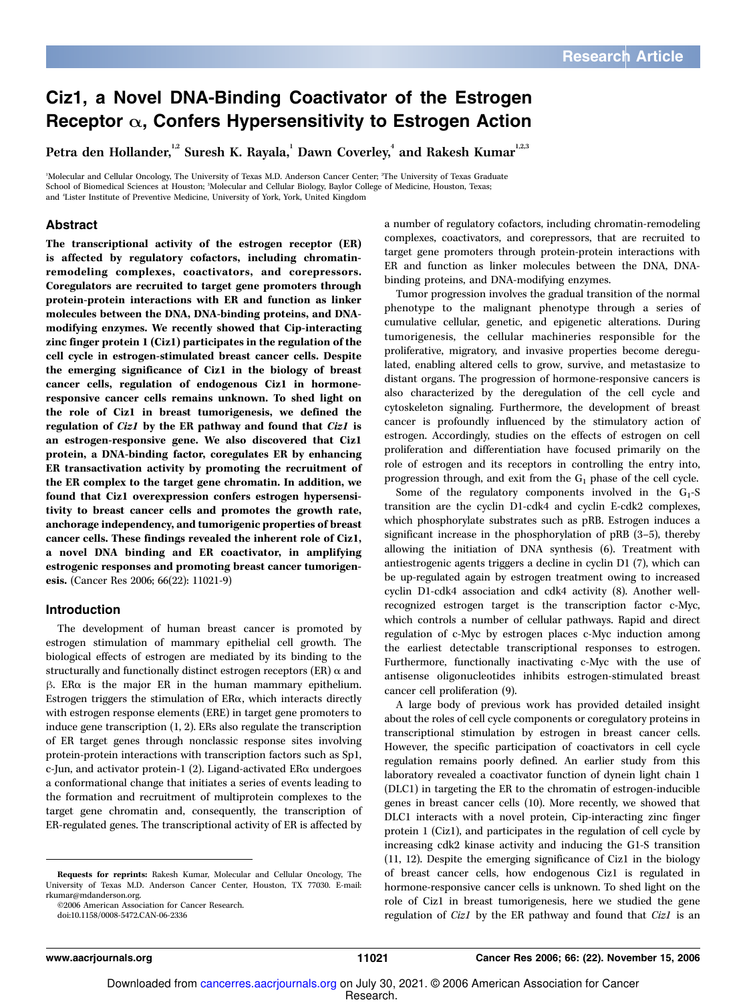### Ciz1, a Novel DNA-Binding Coactivator of the Estrogen Receptor  $\alpha$ , Confers Hypersensitivity to Estrogen Action

Petra den Hollander, $^{^{1,2}}$  Suresh K. Rayala, $^{^{1}}$  Dawn Coverley, $^{^{4}}$  and Rakesh Kumar $^{^{1,2,3}}$ 

<sup>1</sup>Molecular and Cellular Oncology, The University of Texas M.D. Anderson Cancer Center; <sup>2</sup>The University of Texas Graduate School of Biomedical Sciences at Houston; <sup>3</sup>Molecular and Cellular Biology, Baylor College of Medicine, Houston, Texas; and <sup>4</sup>Lister Institute of Preventive Medicine, University of York, York, United Kingdom

#### Abstract

The transcriptional activity of the estrogen receptor (ER) is affected by regulatory cofactors, including chromatinremodeling complexes, coactivators, and corepressors. Coregulators are recruited to target gene promoters through protein-protein interactions with ER and function as linker molecules between the DNA, DNA-binding proteins, and DNAmodifying enzymes. We recently showed that Cip-interacting zinc finger protein 1 (Ciz1) participates in the regulation of the cell cycle in estrogen-stimulated breast cancer cells. Despite the emerging significance of Ciz1 in the biology of breast cancer cells, regulation of endogenous Ciz1 in hormoneresponsive cancer cells remains unknown. To shed light on the role of Ciz1 in breast tumorigenesis, we defined the regulation of Ciz1 by the ER pathway and found that Ciz1 is an estrogen-responsive gene. We also discovered that Ciz1 protein, a DNA-binding factor, coregulates ER by enhancing ER transactivation activity by promoting the recruitment of the ER complex to the target gene chromatin. In addition, we found that Ciz1 overexpression confers estrogen hypersensitivity to breast cancer cells and promotes the growth rate, anchorage independency, and tumorigenic properties of breast cancer cells. These findings revealed the inherent role of Ciz1, a novel DNA binding and ER coactivator, in amplifying estrogenic responses and promoting breast cancer tumorigenesis. (Cancer Res 2006; 66(22): 11021-9)

#### Introduction

The development of human breast cancer is promoted by estrogen stimulation of mammary epithelial cell growth. The biological effects of estrogen are mediated by its binding to the structurally and functionally distinct estrogen receptors (ER)  $\alpha$  and  $\beta$ . ER $\alpha$  is the major ER in the human mammary epithelium. Estrogen triggers the stimulation of  $ER\alpha$ , which interacts directly with estrogen response elements (ERE) in target gene promoters to induce gene transcription (1, 2). ERs also regulate the transcription of ER target genes through nonclassic response sites involving protein-protein interactions with transcription factors such as Sp1, c-Jun, and activator protein-1 (2). Ligand-activated  $ER\alpha$  undergoes a conformational change that initiates a series of events leading to the formation and recruitment of multiprotein complexes to the target gene chromatin and, consequently, the transcription of ER-regulated genes. The transcriptional activity of ER is affected by

©2006 American Association for Cancer Research.

doi:10.1158/0008-5472.CAN-06-2336

Tumor progression involves the gradual transition of the normal phenotype to the malignant phenotype through a series of cumulative cellular, genetic, and epigenetic alterations. During tumorigenesis, the cellular machineries responsible for the proliferative, migratory, and invasive properties become deregulated, enabling altered cells to grow, survive, and metastasize to distant organs. The progression of hormone-responsive cancers is also characterized by the deregulation of the cell cycle and cytoskeleton signaling. Furthermore, the development of breast cancer is profoundly influenced by the stimulatory action of estrogen. Accordingly, studies on the effects of estrogen on cell proliferation and differentiation have focused primarily on the role of estrogen and its receptors in controlling the entry into, progression through, and exit from the  $G_1$  phase of the cell cycle.

Some of the regulatory components involved in the  $G_1$ -S transition are the cyclin D1-cdk4 and cyclin E-cdk2 complexes, which phosphorylate substrates such as pRB. Estrogen induces a significant increase in the phosphorylation of pRB (3–5), thereby allowing the initiation of DNA synthesis (6). Treatment with antiestrogenic agents triggers a decline in cyclin D1 (7), which can be up-regulated again by estrogen treatment owing to increased cyclin D1-cdk4 association and cdk4 activity (8). Another wellrecognized estrogen target is the transcription factor c-Myc, which controls a number of cellular pathways. Rapid and direct regulation of c-Myc by estrogen places c-Myc induction among the earliest detectable transcriptional responses to estrogen. Furthermore, functionally inactivating c-Myc with the use of antisense oligonucleotides inhibits estrogen-stimulated breast cancer cell proliferation (9).

A large body of previous work has provided detailed insight about the roles of cell cycle components or coregulatory proteins in transcriptional stimulation by estrogen in breast cancer cells. However, the specific participation of coactivators in cell cycle regulation remains poorly defined. An earlier study from this laboratory revealed a coactivator function of dynein light chain 1 (DLC1) in targeting the ER to the chromatin of estrogen-inducible genes in breast cancer cells (10). More recently, we showed that DLC1 interacts with a novel protein, Cip-interacting zinc finger protein 1 (Ciz1), and participates in the regulation of cell cycle by increasing cdk2 kinase activity and inducing the G1-S transition (11, 12). Despite the emerging significance of Ciz1 in the biology of breast cancer cells, how endogenous Ciz1 is regulated in hormone-responsive cancer cells is unknown. To shed light on the role of Ciz1 in breast tumorigenesis, here we studied the gene regulation of Ciz1 by the ER pathway and found that Ciz1 is an

Requests for reprints: Rakesh Kumar, Molecular and Cellular Oncology, The University of Texas M.D. Anderson Cancer Center, Houston, TX 77030. E-mail: rkumar@mdanderson.org.

a number of regulatory cofactors, including chromatin-remodeling complexes, coactivators, and corepressors, that are recruited to target gene promoters through protein-protein interactions with ER and function as linker molecules between the DNA, DNAbinding proteins, and DNA-modifying enzymes.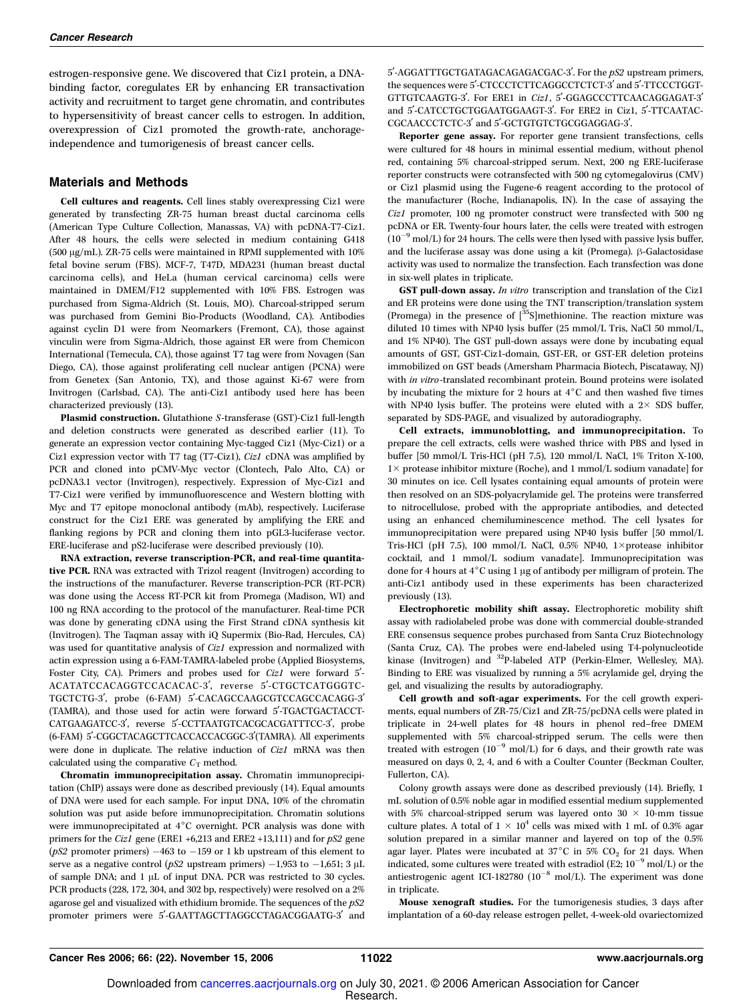estrogen-responsive gene. We discovered that Ciz1 protein, a DNAbinding factor, coregulates ER by enhancing ER transactivation activity and recruitment to target gene chromatin, and contributes to hypersensitivity of breast cancer cells to estrogen. In addition, overexpression of Ciz1 promoted the growth-rate, anchorageindependence and tumorigenesis of breast cancer cells.

#### Materials and Methods

Cell cultures and reagents. Cell lines stably overexpressing Ciz1 were generated by transfecting ZR-75 human breast ductal carcinoma cells (American Type Culture Collection, Manassas, VA) with pcDNA-T7-Ciz1. After 48 hours, the cells were selected in medium containing G418 (500  $\mu$ g/mL). ZR-75 cells were maintained in RPMI supplemented with 10% fetal bovine serum (FBS). MCF-7, T47D, MDA231 (human breast ductal carcinoma cells), and HeLa (human cervical carcinoma) cells were maintained in DMEM/F12 supplemented with 10% FBS. Estrogen was purchased from Sigma-Aldrich (St. Louis, MO). Charcoal-stripped serum was purchased from Gemini Bio-Products (Woodland, CA). Antibodies against cyclin D1 were from Neomarkers (Fremont, CA), those against vinculin were from Sigma-Aldrich, those against ER were from Chemicon International (Temecula, CA), those against T7 tag were from Novagen (San Diego, CA), those against proliferating cell nuclear antigen (PCNA) were from Genetex (San Antonio, TX), and those against Ki-67 were from Invitrogen (Carlsbad, CA). The anti-Ciz1 antibody used here has been characterized previously (13).

Plasmid construction. Glutathione S-transferase (GST)-Ciz1 full-length and deletion constructs were generated as described earlier (11). To generate an expression vector containing Myc-tagged Ciz1 (Myc-Ciz1) or a Ciz1 expression vector with T7 tag (T7-Ciz1), Ciz1 cDNA was amplified by PCR and cloned into pCMV-Myc vector (Clontech, Palo Alto, CA) or pcDNA3.1 vector (Invitrogen), respectively. Expression of Myc-Ciz1 and T7-Ciz1 were verified by immunofluorescence and Western blotting with Myc and T7 epitope monoclonal antibody (mAb), respectively. Luciferase construct for the Ciz1 ERE was generated by amplifying the ERE and flanking regions by PCR and cloning them into pGL3-luciferase vector. ERE-luciferase and pS2-luciferase were described previously (10).

RNA extraction, reverse transcription-PCR, and real-time quantitative PCR. RNA was extracted with Trizol reagent (Invitrogen) according to the instructions of the manufacturer. Reverse transcription-PCR (RT-PCR) was done using the Access RT-PCR kit from Promega (Madison, WI) and 100 ng RNA according to the protocol of the manufacturer. Real-time PCR was done by generating cDNA using the First Strand cDNA synthesis kit (Invitrogen). The Taqman assay with iQ Supermix (Bio-Rad, Hercules, CA) was used for quantitative analysis of Ciz1 expression and normalized with actin expression using a 6-FAM-TAMRA-labeled probe (Applied Biosystems, Foster City, CA). Primers and probes used for Ciz1 were forward 5'-ACATATCCACAGGTCCACACAC-3', reverse 5'-CTGCTCATGGGTC-TGCTCTG-3', probe (6-FAM) 5'-CACAGCCAAGCGTCCAGCCACAGG-3' (TAMRA), and those used for actin were forward 5'-TGACTGACTACCT-CATGAAGATCC-3', reverse 5'-CCTTAATGTCACGCACGATTTCC-3', probe (6-FAM) 5'-CGGCTACAGCTTCACCACCACGGC-3'(TAMRA). All experiments were done in duplicate. The relative induction of Ciz1 mRNA was then calculated using the comparative  $C_T$  method.

Chromatin immunoprecipitation assay. Chromatin immunoprecipitation (ChIP) assays were done as described previously (14). Equal amounts of DNA were used for each sample. For input DNA, 10% of the chromatin solution was put aside before immunoprecipitation. Chromatin solutions were immunoprecipitated at  $4^{\circ}$ C overnight. PCR analysis was done with primers for the *Ciz1* gene (ERE1 +6,213 and ERE2 +13,111) and for  $pS2$  gene ( $pS2$  promoter primers)  $-463$  to  $-159$  or 1 kb upstream of this element to serve as a negative control ( $pS2$  upstream primers) -1,953 to -1,651; 3 µL of sample DNA; and  $1 \mu L$  of input DNA. PCR was restricted to 30 cycles. PCR products (228, 172, 304, and 302 bp, respectively) were resolved on a 2% agarose gel and visualized with ethidium bromide. The sequences of the  $pS2$ promoter primers were 5'-GAATTAGCTTAGGCCTAGACGGAATG-3' and 5'-AGGATTTGCTGATAGACAGAGACGAC-3'. For the  $pS2$  upstream primers, the sequences were 5'-CTCCCTCTTCAGGCCTCTCT-3' and 5'-TTCCCTGGT-GTTGTCAAGTG-3'. For ERE1 in Ciz1, 5'-GGAGCCCTTCAACAGGAGAT-3' and 5'-CATCCTGCTGGAATGGAAGT-3'. For ERE2 in Ciz1, 5'-TTCAATAC-CGCAACCCTCTC-3' and 5'-GCTGTGTCTGCGGAGGAG-3'.

Reporter gene assay. For reporter gene transient transfections, cells were cultured for 48 hours in minimal essential medium, without phenol red, containing 5% charcoal-stripped serum. Next, 200 ng ERE-luciferase reporter constructs were cotransfected with 500 ng cytomegalovirus (CMV) or Ciz1 plasmid using the Fugene-6 reagent according to the protocol of the manufacturer (Roche, Indianapolis, IN). In the case of assaying the Ciz1 promoter, 100 ng promoter construct were transfected with 500 ng pcDNA or ER. Twenty-four hours later, the cells were treated with estrogen  $(10^{-9}$  mol/L) for 24 hours. The cells were then lysed with passive lysis buffer, and the luciferase assay was done using a kit (Promega).  $\beta$ -Galactosidase activity was used to normalize the transfection. Each transfection was done in six-well plates in triplicate.

GST pull-down assay. In vitro transcription and translation of the Ciz1 and ER proteins were done using the TNT transcription/translation system (Promega) in the presence of  $[^{35}S]$ methionine. The reaction mixture was diluted 10 times with NP40 lysis buffer (25 mmol/L Tris, NaCl 50 mmol/L, and 1% NP40). The GST pull-down assays were done by incubating equal amounts of GST, GST-Ciz1-domain, GST-ER, or GST-ER deletion proteins immobilized on GST beads (Amersham Pharmacia Biotech, Piscataway, NJ) with in vitro-translated recombinant protein. Bound proteins were isolated by incubating the mixture for 2 hours at  $4^{\circ}$ C and then washed five times with NP40 lysis buffer. The proteins were eluted with a  $2 \times$  SDS buffer, separated by SDS-PAGE, and visualized by autoradiography.

Cell extracts, immunoblotting, and immunoprecipitation. To prepare the cell extracts, cells were washed thrice with PBS and lysed in buffer [50 mmol/L Tris-HCl (pH 7.5), 120 mmol/L NaCl, 1% Triton X-100, 1× protease inhibitor mixture (Roche), and 1 mmol/L sodium vanadate] for 30 minutes on ice. Cell lysates containing equal amounts of protein were then resolved on an SDS-polyacrylamide gel. The proteins were transferred to nitrocellulose, probed with the appropriate antibodies, and detected using an enhanced chemiluminescence method. The cell lysates for immunoprecipitation were prepared using NP40 lysis buffer [50 mmol/L Tris-HCl (pH 7.5), 100 mmol/L NaCl, 0.5% NP40,  $1 \times$  protease inhibitor cocktail, and 1 mmol/L sodium vanadate]. Immunoprecipitation was done for 4 hours at 4°C using 1 µg of antibody per milligram of protein. The anti-Ciz1 antibody used in these experiments has been characterized previously (13).

Electrophoretic mobility shift assay. Electrophoretic mobility shift assay with radiolabeled probe was done with commercial double-stranded ERE consensus sequence probes purchased from Santa Cruz Biotechnology (Santa Cruz, CA). The probes were end-labeled using T4-polynucleotide kinase (Invitrogen) and <sup>32</sup>P-labeled ATP (Perkin-Elmer, Wellesley, MA). Binding to ERE was visualized by running a 5% acrylamide gel, drying the gel, and visualizing the results by autoradiography.

Cell growth and soft-agar experiments. For the cell growth experiments, equal numbers of ZR-75/Ciz1 and ZR-75/pcDNA cells were plated in triplicate in 24-well plates for 48 hours in phenol red–free DMEM supplemented with 5% charcoal-stripped serum. The cells were then treated with estrogen  $(10^{-9}$  mol/L) for 6 days, and their growth rate was measured on days 0, 2, 4, and 6 with a Coulter Counter (Beckman Coulter, Fullerton, CA).

Colony growth assays were done as described previously (14). Briefly, 1 mL solution of 0.5% noble agar in modified essential medium supplemented with 5% charcoal-stripped serum was layered onto 30  $\times$  10-mm tissue culture plates. A total of  $1 \times 10^4$  cells was mixed with 1 mL of 0.3% agar solution prepared in a similar manner and layered on top of the 0.5% agar layer. Plates were incubated at  $37^{\circ}$ C in 5% CO<sub>2</sub> for 21 days. When indicated, some cultures were treated with estradiol (E2;  $10^{-9}$  mol/L) or the antiestrogenic agent ICI-182780 ( $10^{-8}$  mol/L). The experiment was done in triplicate.

Mouse xenograft studies. For the tumorigenesis studies, 3 days after implantation of a 60-day release estrogen pellet, 4-week-old ovariectomized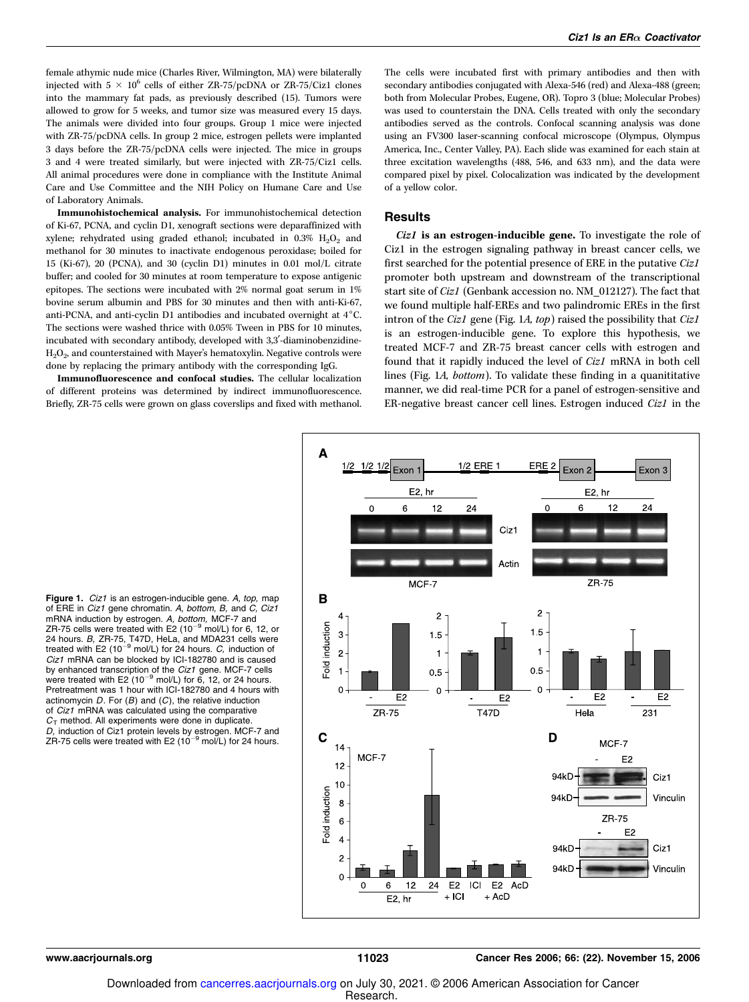female athymic nude mice (Charles River, Wilmington, MA) were bilaterally injected with  $5 \times 10^6$  cells of either ZR-75/pcDNA or ZR-75/Ciz1 clones into the mammary fat pads, as previously described (15). Tumors were allowed to grow for 5 weeks, and tumor size was measured every 15 days. The animals were divided into four groups. Group 1 mice were injected with ZR-75/pcDNA cells. In group 2 mice, estrogen pellets were implanted 3 days before the ZR-75/pcDNA cells were injected. The mice in groups 3 and 4 were treated similarly, but were injected with ZR-75/Ciz1 cells. All animal procedures were done in compliance with the Institute Animal Care and Use Committee and the NIH Policy on Humane Care and Use of Laboratory Animals.

Immunohistochemical analysis. For immunohistochemical detection of Ki-67, PCNA, and cyclin D1, xenograft sections were deparaffinized with xylene; rehydrated using graded ethanol; incubated in  $0.3\%$   $H_2O_2$  and methanol for 30 minutes to inactivate endogenous peroxidase; boiled for 15 (Ki-67), 20 (PCNA), and 30 (cyclin D1) minutes in 0.01 mol/L citrate buffer; and cooled for 30 minutes at room temperature to expose antigenic epitopes. The sections were incubated with 2% normal goat serum in 1% bovine serum albumin and PBS for 30 minutes and then with anti-Ki-67, anti-PCNA, and anti-cyclin D1 antibodies and incubated overnight at  $4^{\circ}$ C. The sections were washed thrice with 0.05% Tween in PBS for 10 minutes, incubated with secondary antibody, developed with 3,3'-diaminobenzidine-H<sub>2</sub>O<sub>2</sub>, and counterstained with Mayer's hematoxylin. Negative controls were done by replacing the primary antibody with the corresponding IgG.

Immunofluorescence and confocal studies. The cellular localization of different proteins was determined by indirect immunofluorescence. Briefly, ZR-75 cells were grown on glass coverslips and fixed with methanol. The cells were incubated first with primary antibodies and then with secondary antibodies conjugated with Alexa-546 (red) and Alexa-488 (green; both from Molecular Probes, Eugene, OR). Topro 3 (blue; Molecular Probes) was used to counterstain the DNA. Cells treated with only the secondary antibodies served as the controls. Confocal scanning analysis was done using an FV300 laser-scanning confocal microscope (Olympus, Olympus America, Inc., Center Valley, PA). Each slide was examined for each stain at three excitation wavelengths (488, 546, and 633 nm), and the data were compared pixel by pixel. Colocalization was indicated by the development of a yellow color.

#### **Results**

Ciz1 is an estrogen-inducible gene. To investigate the role of Ciz1 in the estrogen signaling pathway in breast cancer cells, we first searched for the potential presence of ERE in the putative Ciz1 promoter both upstream and downstream of the transcriptional start site of Ciz1 (Genbank accession no. NM\_012127). The fact that we found multiple half-EREs and two palindromic EREs in the first intron of the Ciz1 gene (Fig. 1A, top) raised the possibility that Ciz1 is an estrogen-inducible gene. To explore this hypothesis, we treated MCF-7 and ZR-75 breast cancer cells with estrogen and found that it rapidly induced the level of Ciz1 mRNA in both cell lines (Fig. 1A, bottom). To validate these finding in a quanititative manner, we did real-time PCR for a panel of estrogen-sensitive and ER-negative breast cancer cell lines. Estrogen induced Ciz1 in the



Figure 1. Ciz1 is an estrogen-inducible gene. A, top, map of ERE in Ciz1 gene chromatin. A, bottom, B, and C, Ciz1 mRNA induction by estrogen. A, bottom, MCF-7 and ZR-75 cells were treated with E2  $(10^{-9}$  mol/L) for 6, 12, or 24 hours. B, ZR-75, T47D, HeLa, and MDA231 cells were treated with E2 (10<sup>-9</sup> mol/L) for 24 hours. C, induction of Ciz1 mRNA can be blocked by ICI-182780 and is caused by enhanced transcription of the *Ciz1* gene. MCF-7 cells<br>were treated with E2 (10<sup>-9</sup> mol/L) for 6, 12, or 24 hours. Pretreatment was 1 hour with ICI-182780 and 4 hours with actinomycin  $D$ . For  $(B)$  and  $(C)$ , the relative induction of Ciz1 mRNA was calculated using the comparative  $C<sub>T</sub>$  method. All experiments were done in duplicate. *D,* induction of Ciz1 protein levels by estrogen. MCF-7 and<br>ZR-75 cells were treated with E2 (10<sup>–9</sup> mol/L) for 24 hours.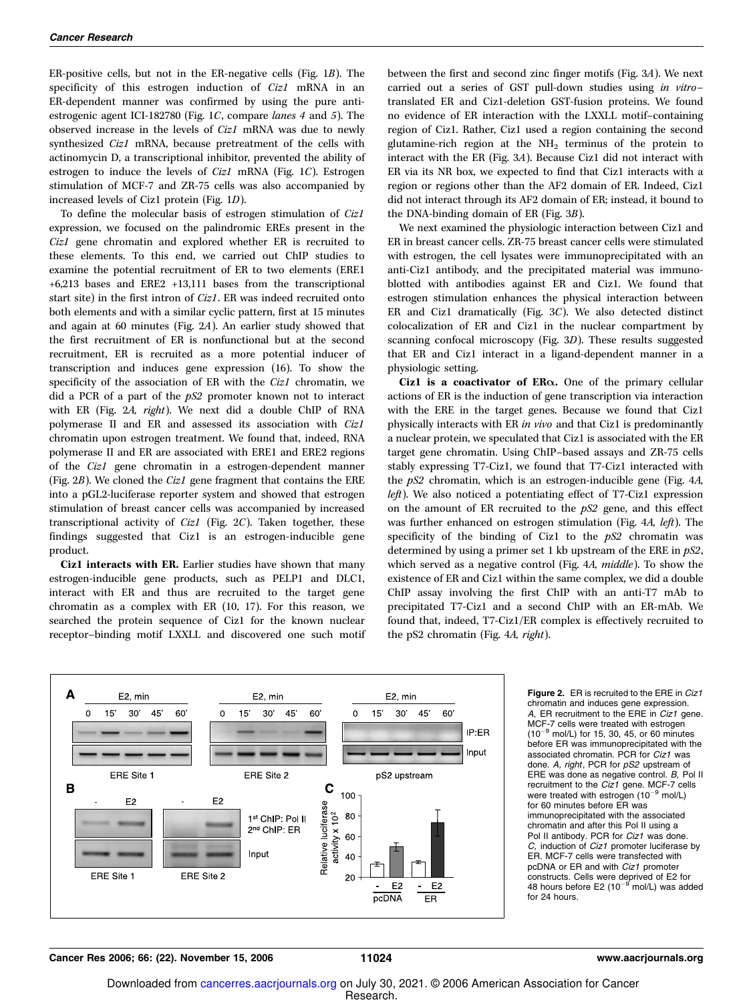ER-positive cells, but not in the ER-negative cells (Fig. 1B). The specificity of this estrogen induction of Ciz1 mRNA in an ER-dependent manner was confirmed by using the pure antiestrogenic agent ICI-182780 (Fig. 1C, compare lanes 4 and 5). The observed increase in the levels of Ciz1 mRNA was due to newly synthesized *Ciz1* mRNA, because pretreatment of the cells with actinomycin D, a transcriptional inhibitor, prevented the ability of estrogen to induce the levels of Ciz1 mRNA (Fig. 1C). Estrogen stimulation of MCF-7 and ZR-75 cells was also accompanied by increased levels of Ciz1 protein (Fig. 1D).

To define the molecular basis of estrogen stimulation of Ciz1 expression, we focused on the palindromic EREs present in the Ciz1 gene chromatin and explored whether ER is recruited to these elements. To this end, we carried out ChIP studies to examine the potential recruitment of ER to two elements (ERE1 +6,213 bases and ERE2 +13,111 bases from the transcriptional start site) in the first intron of Ciz1. ER was indeed recruited onto both elements and with a similar cyclic pattern, first at 15 minutes and again at 60 minutes (Fig. 2A). An earlier study showed that the first recruitment of ER is nonfunctional but at the second recruitment, ER is recruited as a more potential inducer of transcription and induces gene expression (16). To show the specificity of the association of ER with the *Ciz1* chromatin, we did a PCR of a part of the  $pS2$  promoter known not to interact with ER (Fig. 2A, right). We next did a double ChIP of RNA polymerase II and ER and assessed its association with Ciz1 chromatin upon estrogen treatment. We found that, indeed, RNA polymerase II and ER are associated with ERE1 and ERE2 regions of the Ciz1 gene chromatin in a estrogen-dependent manner (Fig. 2B). We cloned the Ciz1 gene fragment that contains the ERE into a pGL2-luciferase reporter system and showed that estrogen stimulation of breast cancer cells was accompanied by increased transcriptional activity of  $Ciz1$  (Fig. 2C). Taken together, these findings suggested that Ciz1 is an estrogen-inducible gene product.

Ciz1 interacts with ER. Earlier studies have shown that many estrogen-inducible gene products, such as PELP1 and DLC1, interact with ER and thus are recruited to the target gene chromatin as a complex with ER (10, 17). For this reason, we searched the protein sequence of Ciz1 for the known nuclear receptor–binding motif LXXLL and discovered one such motif between the first and second zinc finger motifs (Fig. 3A). We next carried out a series of GST pull-down studies using in vitro– translated ER and Ciz1-deletion GST-fusion proteins. We found no evidence of ER interaction with the LXXLL motif–containing region of Ciz1. Rather, Ciz1 used a region containing the second glutamine-rich region at the NH<sub>2</sub> terminus of the protein to interact with the ER (Fig. 3A). Because Ciz1 did not interact with ER via its NR box, we expected to find that Ciz1 interacts with a region or regions other than the AF2 domain of ER. Indeed, Ciz1 did not interact through its AF2 domain of ER; instead, it bound to the DNA-binding domain of ER (Fig. 3B).

We next examined the physiologic interaction between Ciz1 and ER in breast cancer cells. ZR-75 breast cancer cells were stimulated with estrogen, the cell lysates were immunoprecipitated with an anti-Ciz1 antibody, and the precipitated material was immunoblotted with antibodies against ER and Ciz1. We found that estrogen stimulation enhances the physical interaction between ER and Ciz1 dramatically (Fig. 3C). We also detected distinct colocalization of ER and Ciz1 in the nuclear compartment by scanning confocal microscopy (Fig. 3D). These results suggested that ER and Ciz1 interact in a ligand-dependent manner in a physiologic setting.

Ciz1 is a coactivator of  $ER\alpha$ . One of the primary cellular actions of ER is the induction of gene transcription via interaction with the ERE in the target genes. Because we found that Ciz1 physically interacts with ER in vivo and that Ciz1 is predominantly a nuclear protein, we speculated that Ciz1 is associated with the ER target gene chromatin. Using ChIP–based assays and ZR-75 cells stably expressing T7-Ciz1, we found that T7-Ciz1 interacted with the pS2 chromatin, which is an estrogen-inducible gene (Fig. 4A, left). We also noticed a potentiating effect of T7-Ciz1 expression on the amount of ER recruited to the  $pS2$  gene, and this effect was further enhanced on estrogen stimulation (Fig. 4A, left). The specificity of the binding of Ciz1 to the  $pS2$  chromatin was determined by using a primer set 1 kb upstream of the ERE in  $pS2$ , which served as a negative control (Fig. 4A, middle). To show the existence of ER and Ciz1 within the same complex, we did a double ChIP assay involving the first ChIP with an anti-T7 mAb to precipitated T7-Ciz1 and a second ChIP with an ER-mAb. We found that, indeed, T7-Ciz1/ER complex is effectively recruited to the pS2 chromatin (Fig. 4A, right).



Figure 2. ER is recruited to the ERE in Ciz1 chromatin and induces gene expression. A, ER recruitment to the ERE in Ciz1 gene. MCF-7 cells were treated with estrogen  $(10^{-9}$  mol/L) for 15, 30, 45, or 60 minutes before ER was immunoprecipitated with the associated chromatin. PCR for Ciz1 was done. A, right, PCR for pS2 upstream of ERE was done as negative control. B, Pol II recruitment to the Ciz1 gene. MCF-7 cells were treated with estrogen  $(10^{-9}$  mol/L) for 60 minutes before ER was immunoprecipitated with the associated chromatin and after this Pol II using a Pol II antibody. PCR for Ciz1 was done. C, induction of Ciz1 promoter luciferase by ER. MCF-7 cells were transfected with pcDNA or ER and with Ciz1 promoter constructs. Cells were deprived of E2 for<br>48 hours before E2 (10<sup>–9</sup> mol/L) was added for 24 hours.

Cancer Res 2006; 66: (22). November 15, 2006 11024 www.aacrjournals.org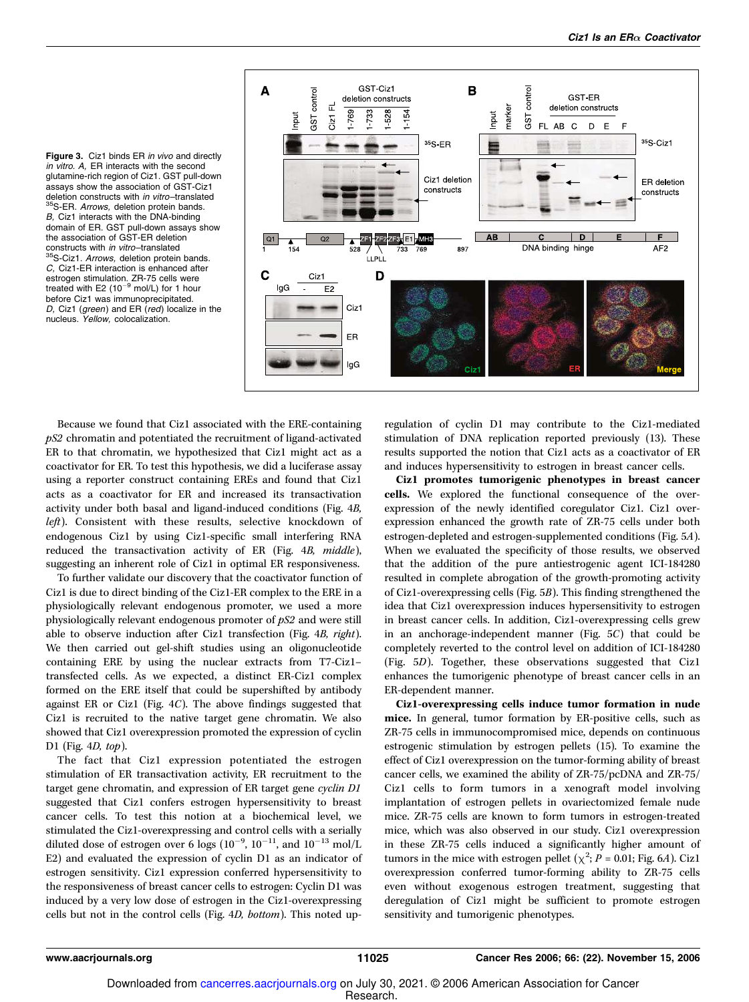Figure 3. Ciz1 binds ER in vivo and directly in vitro. A, ER interacts with the second glutamine-rich region of Ciz1. GST pull-down assays showthe association of GST-Ciz1 deletion constructs with in vitro-translated 35S-ER. Arrows, deletion protein bands. B, Ciz1 interacts with the DNA-binding domain of ER. GST pull-down assays show the association of GST-ER deletion constructs with in vitro–translated 35S-Ciz1. Arrows, deletion protein bands. C, Ciz1-ER interaction is enhanced after estrogen stimulation. ZR-75 cells were treated with  $E2 (10^{-9}$  mol/L) for 1 hour before Ciz1 was immunoprecipitated. D, Ciz1 (green) and ER (red) localize in the nucleus. Yellow, colocalization.



Because we found that Ciz1 associated with the ERE-containing pS2 chromatin and potentiated the recruitment of ligand-activated ER to that chromatin, we hypothesized that Ciz1 might act as a coactivator for ER. To test this hypothesis, we did a luciferase assay using a reporter construct containing EREs and found that Ciz1 acts as a coactivator for ER and increased its transactivation activity under both basal and ligand-induced conditions (Fig. 4B, left). Consistent with these results, selective knockdown of endogenous Ciz1 by using Ciz1-specific small interfering RNA reduced the transactivation activity of ER (Fig. 4B, middle), suggesting an inherent role of Ciz1 in optimal ER responsiveness.

To further validate our discovery that the coactivator function of Ciz1 is due to direct binding of the Ciz1-ER complex to the ERE in a physiologically relevant endogenous promoter, we used a more physiologically relevant endogenous promoter of pS2 and were still able to observe induction after Ciz1 transfection (Fig. 4B, right). We then carried out gel-shift studies using an oligonucleotide containing ERE by using the nuclear extracts from T7-Ciz1– transfected cells. As we expected, a distinct ER-Ciz1 complex formed on the ERE itself that could be supershifted by antibody against ER or Ciz1 (Fig. 4C). The above findings suggested that Ciz1 is recruited to the native target gene chromatin. We also showed that Ciz1 overexpression promoted the expression of cyclin D1 (Fig. 4*D*, top).

The fact that Ciz1 expression potentiated the estrogen stimulation of ER transactivation activity, ER recruitment to the target gene chromatin, and expression of ER target gene cyclin D1 suggested that Ciz1 confers estrogen hypersensitivity to breast cancer cells. To test this notion at a biochemical level, we stimulated the Ciz1-overexpressing and control cells with a serially diluted dose of estrogen over 6 logs  $(10^{-9}, 10^{-11}, 10^{-13} \text{ mol/L})$ E2) and evaluated the expression of cyclin D1 as an indicator of estrogen sensitivity. Ciz1 expression conferred hypersensitivity to the responsiveness of breast cancer cells to estrogen: Cyclin D1 was induced by a very low dose of estrogen in the Ciz1-overexpressing cells but not in the control cells (Fig. 4D, bottom). This noted upregulation of cyclin D1 may contribute to the Ciz1-mediated stimulation of DNA replication reported previously (13). These results supported the notion that Ciz1 acts as a coactivator of ER and induces hypersensitivity to estrogen in breast cancer cells.

Ciz1 promotes tumorigenic phenotypes in breast cancer cells. We explored the functional consequence of the overexpression of the newly identified coregulator Ciz1. Ciz1 overexpression enhanced the growth rate of ZR-75 cells under both estrogen-depleted and estrogen-supplemented conditions (Fig. 5A). When we evaluated the specificity of those results, we observed that the addition of the pure antiestrogenic agent ICI-184280 resulted in complete abrogation of the growth-promoting activity of Ciz1-overexpressing cells (Fig. 5B). This finding strengthened the idea that Ciz1 overexpression induces hypersensitivity to estrogen in breast cancer cells. In addition, Ciz1-overexpressing cells grew in an anchorage-independent manner (Fig. 5C) that could be completely reverted to the control level on addition of ICI-184280 (Fig. 5D). Together, these observations suggested that Ciz1 enhances the tumorigenic phenotype of breast cancer cells in an ER-dependent manner.

Ciz1-overexpressing cells induce tumor formation in nude mice. In general, tumor formation by ER-positive cells, such as ZR-75 cells in immunocompromised mice, depends on continuous estrogenic stimulation by estrogen pellets (15). To examine the effect of Ciz1 overexpression on the tumor-forming ability of breast cancer cells, we examined the ability of ZR-75/pcDNA and ZR-75/ Ciz1 cells to form tumors in a xenograft model involving implantation of estrogen pellets in ovariectomized female nude mice. ZR-75 cells are known to form tumors in estrogen-treated mice, which was also observed in our study. Ciz1 overexpression in these ZR-75 cells induced a significantly higher amount of tumors in the mice with estrogen pellet ( $\chi^2$ ; P = 0.01; Fig. 6A). Ciz1 overexpression conferred tumor-forming ability to ZR-75 cells even without exogenous estrogen treatment, suggesting that deregulation of Ciz1 might be sufficient to promote estrogen sensitivity and tumorigenic phenotypes.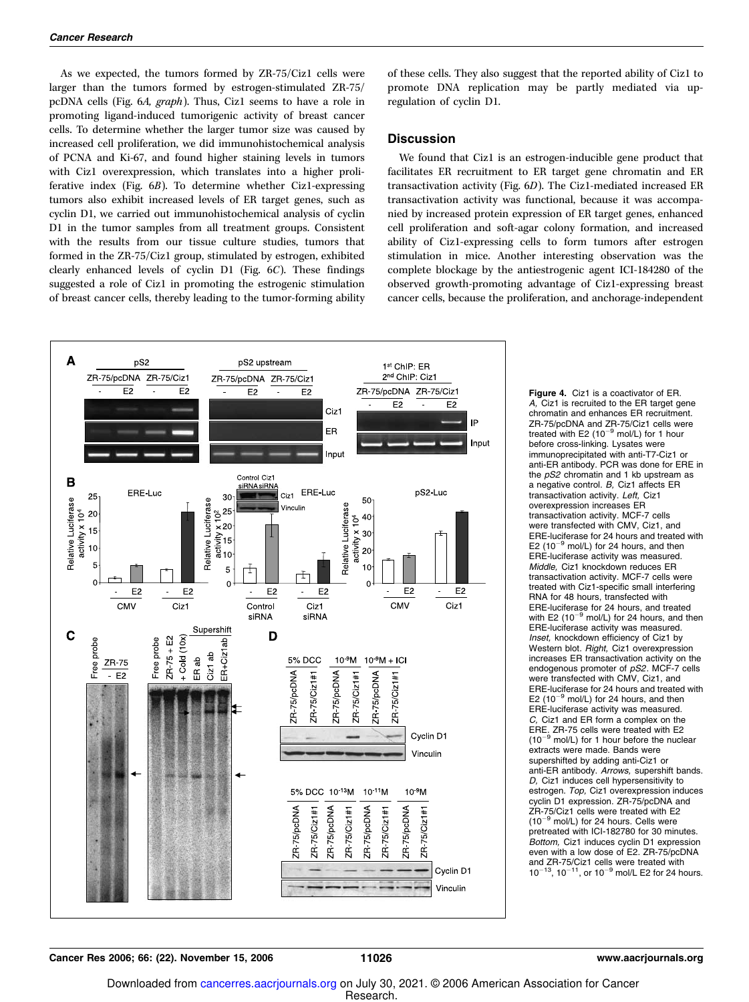As we expected, the tumors formed by ZR-75/Ciz1 cells were larger than the tumors formed by estrogen-stimulated ZR-75/ pcDNA cells (Fig. 6A, graph). Thus, Ciz1 seems to have a role in promoting ligand-induced tumorigenic activity of breast cancer cells. To determine whether the larger tumor size was caused by increased cell proliferation, we did immunohistochemical analysis of PCNA and Ki-67, and found higher staining levels in tumors with Ciz1 overexpression, which translates into a higher proliferative index (Fig. 6B). To determine whether Ciz1-expressing tumors also exhibit increased levels of ER target genes, such as cyclin D1, we carried out immunohistochemical analysis of cyclin D1 in the tumor samples from all treatment groups. Consistent with the results from our tissue culture studies, tumors that formed in the ZR-75/Ciz1 group, stimulated by estrogen, exhibited clearly enhanced levels of cyclin D1 (Fig. 6C). These findings suggested a role of Ciz1 in promoting the estrogenic stimulation of breast cancer cells, thereby leading to the tumor-forming ability of these cells. They also suggest that the reported ability of Ciz1 to promote DNA replication may be partly mediated via upregulation of cyclin D1.

#### **Discussion**

We found that Ciz1 is an estrogen-inducible gene product that facilitates ER recruitment to ER target gene chromatin and ER transactivation activity (Fig. 6D). The Ciz1-mediated increased ER transactivation activity was functional, because it was accompanied by increased protein expression of ER target genes, enhanced cell proliferation and soft-agar colony formation, and increased ability of Ciz1-expressing cells to form tumors after estrogen stimulation in mice. Another interesting observation was the complete blockage by the antiestrogenic agent ICI-184280 of the observed growth-promoting advantage of Ciz1-expressing breast cancer cells, because the proliferation, and anchorage-independent



Figure 4. Ciz1 is a coactivator of ER. A, Ciz1 is recruited to the ER target gene chromatin and enhances ER recruitment. ZR-75/pcDNA and ZR-75/Ciz1 cells were<br>treated with E2 (10<sup>-9</sup> mol/L) for 1 hour before cross-linking. Lysates were immunoprecipitated with anti-T7-Ciz1 or anti-ER antibody. PCR was done for ERE in the pS2 chromatin and 1 kb upstream as a negative control. B, Ciz1 affects ER transactivation activity. Left, Ciz1 overexpression increases ER transactivation activity. MCF-7 cells were transfected with CMV, Ciz1, and ERE-luciferase for 24 hours and treated with  $E2 (10^{-9}$  mol/L) for 24 hours, and then ERE-luciferase activity was measured. Middle, Ciz1 knockdown reduces ER transactivation activity. MCF-7 cells were treated with Ciz1-specific small interfering RNA for 48 hours, transfected with ERE-luciferase for 24 hours, and treated with E2 (10 $^{-9}$  mol/L) for 24 hours, and then ERE-luciferase activity was measured. Inset, knockdown efficiency of Ciz1 by Western blot. Right, Ciz1 overexpression increases ER transactivation activity on the endogenous promoter of pS2. MCF-7 cells were transfected with CMV, Ciz1, and ERE-luciferase for 24 hours and treated with E2 ( $10^{-9}$  mol/L) for 24 hours, and then ERE-luciferase activity was measured. C, Ciz1 and ER form a complex on the ERE. ZR-75 cells were treated with E2 (10<sup>-9</sup> mol/L) for 1 hour before the nucle mol/L) for 1 hour before the nuclear extracts were made. Bands were supershifted by adding anti-Ciz1 or anti-ER antibody. Arrows, supershift bands. D, Ciz1 induces cell hypersensitivity to estrogen. Top, Ciz1 overexpression induces cyclin D1 expression. ZR-75/pcDNA and ZR-75/Ciz1 cells were treated with E2  $(10^{-9}$  mol/L) for 24 hours. Cells were pretreated with ICI-182780 for 30 minutes. Bottom, Ciz1 induces cyclin D1 expression even with a low dose of E2. ZR-75/pcDNA and ZR-75/Ciz1 cells were treated with  $10^{-13}$ ,  $10^{-11}$ , or  $10^{-9}$  mol/L E2 for 24 hours.

Cancer Res 2006; 66: (22). November 15, 2006 11026 www.aacrjournals.org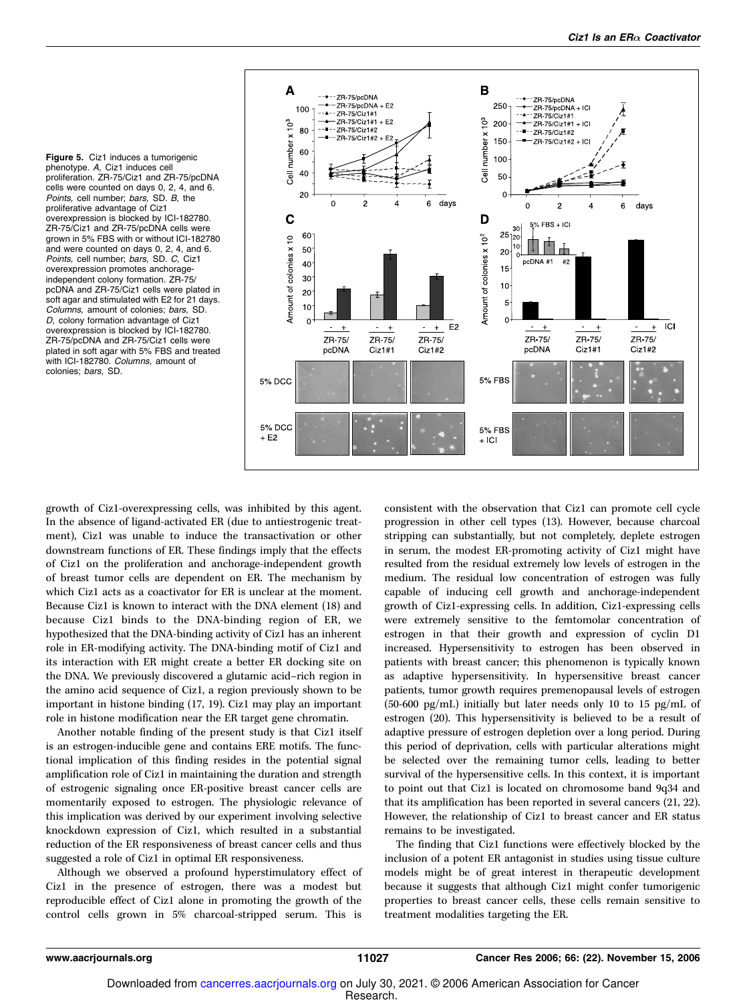Figure 5. Ciz1 induces a tumorigenic phenotype. A, Ciz1 induces cell proliferation. ZR-75/Ciz1 and ZR-75/pcDNA cells were counted on days 0, 2, 4, and 6. Points, cell number; bars, SD. B, the proliferative advantage of Ciz1 overexpression is blocked by ICI-182780. ZR-75/Ciz1 and ZR-75/pcDNA cells were grown in 5% FBS with or without ICI-182780 and were counted on days 0, 2, 4, and 6. Points, cell number; bars, SD. C, Ciz1 overexpression promotes anchorageindependent colony formation. ZR-75/ pcDNA and ZR-75/Ciz1 cells were plated in soft agar and stimulated with E2 for 21 days. Columns, amount of colonies; bars, SD. D, colony formation advantage of Ciz1 overexpression is blocked by ICI-182780. ZR-75/pcDNA and ZR-75/Ciz1 cells were plated in soft agar with 5% FBS and treated with ICI-182780. Columns, amount of colonies; bars, SD.



growth of Ciz1-overexpressing cells, was inhibited by this agent. In the absence of ligand-activated ER (due to antiestrogenic treatment), Ciz1 was unable to induce the transactivation or other downstream functions of ER. These findings imply that the effects of Ciz1 on the proliferation and anchorage-independent growth of breast tumor cells are dependent on ER. The mechanism by which Ciz1 acts as a coactivator for ER is unclear at the moment. Because Ciz1 is known to interact with the DNA element (18) and because Ciz1 binds to the DNA-binding region of ER, we hypothesized that the DNA-binding activity of Ciz1 has an inherent role in ER-modifying activity. The DNA-binding motif of Ciz1 and its interaction with ER might create a better ER docking site on the DNA. We previously discovered a glutamic acid–rich region in the amino acid sequence of Ciz1, a region previously shown to be important in histone binding (17, 19). Ciz1 may play an important role in histone modification near the ER target gene chromatin.

Another notable finding of the present study is that Ciz1 itself is an estrogen-inducible gene and contains ERE motifs. The functional implication of this finding resides in the potential signal amplification role of Ciz1 in maintaining the duration and strength of estrogenic signaling once ER-positive breast cancer cells are momentarily exposed to estrogen. The physiologic relevance of this implication was derived by our experiment involving selective knockdown expression of Ciz1, which resulted in a substantial reduction of the ER responsiveness of breast cancer cells and thus suggested a role of Ciz1 in optimal ER responsiveness.

Although we observed a profound hyperstimulatory effect of Ciz1 in the presence of estrogen, there was a modest but reproducible effect of Ciz1 alone in promoting the growth of the control cells grown in 5% charcoal-stripped serum. This is

consistent with the observation that Ciz1 can promote cell cycle progression in other cell types (13). However, because charcoal stripping can substantially, but not completely, deplete estrogen in serum, the modest ER-promoting activity of Ciz1 might have resulted from the residual extremely low levels of estrogen in the medium. The residual low concentration of estrogen was fully capable of inducing cell growth and anchorage-independent growth of Ciz1-expressing cells. In addition, Ciz1-expressing cells were extremely sensitive to the femtomolar concentration of estrogen in that their growth and expression of cyclin D1 increased. Hypersensitivity to estrogen has been observed in patients with breast cancer; this phenomenon is typically known as adaptive hypersensitivity. In hypersensitive breast cancer patients, tumor growth requires premenopausal levels of estrogen (50-600 pg/mL) initially but later needs only 10 to 15 pg/mL of estrogen (20). This hypersensitivity is believed to be a result of adaptive pressure of estrogen depletion over a long period. During this period of deprivation, cells with particular alterations might be selected over the remaining tumor cells, leading to better survival of the hypersensitive cells. In this context, it is important to point out that Ciz1 is located on chromosome band 9q34 and that its amplification has been reported in several cancers (21, 22). However, the relationship of Ciz1 to breast cancer and ER status remains to be investigated.

The finding that Ciz1 functions were effectively blocked by the inclusion of a potent ER antagonist in studies using tissue culture models might be of great interest in therapeutic development because it suggests that although Ciz1 might confer tumorigenic properties to breast cancer cells, these cells remain sensitive to treatment modalities targeting the ER.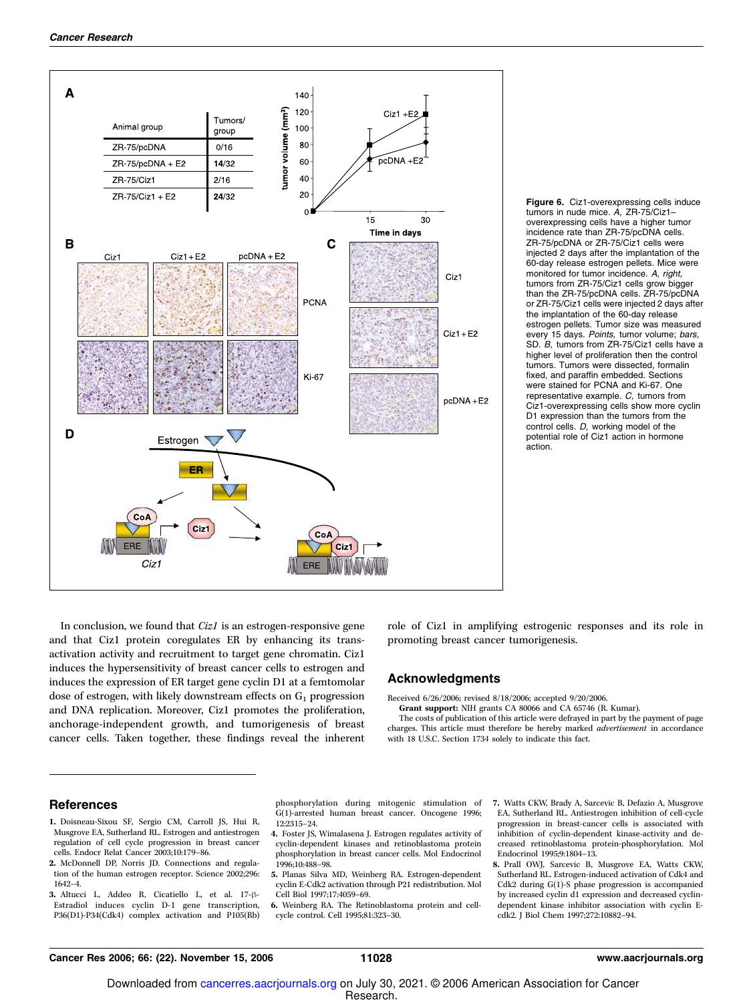

Figure 6. Ciz1-overexpressing cells induce tumors in nude mice. A, ZR-75/Ciz1– overexpressing cells have a higher tumor incidence rate than ZR-75/pcDNA cells. ZR-75/pcDNA or ZR-75/Ciz1 cells were injected 2 days after the implantation of the 60-day release estrogen pellets. Mice were monitored for tumor incidence. A, right, tumors from ZR-75/Ciz1 cells grow bigger than the ZR-75/pcDNA cells. ZR-75/pcDNA or ZR-75/Ciz1 cells were injected 2 days after the implantation of the 60-day release estrogen pellets. Tumor size was measured every 15 days. Points, tumor volume; bars, SD. B, tumors from ZR-75/Ciz1 cells have a higher level of proliferation then the control tumors. Tumors were dissected, formalin fixed, and paraffin embedded. Sections were stained for PCNA and Ki-67. One representative example. C, tumors from Ciz1-overexpressing cells showmore cyclin D1 expression than the tumors from the control cells. D, working model of the potential role of Ciz1 action in hormone action.

In conclusion, we found that *Ciz1* is an estrogen-responsive gene and that Ciz1 protein coregulates ER by enhancing its transactivation activity and recruitment to target gene chromatin. Ciz1 induces the hypersensitivity of breast cancer cells to estrogen and induces the expression of ER target gene cyclin D1 at a femtomolar dose of estrogen, with likely downstream effects on  $G_1$  progression and DNA replication. Moreover, Ciz1 promotes the proliferation, anchorage-independent growth, and tumorigenesis of breast cancer cells. Taken together, these findings reveal the inherent role of Ciz1 in amplifying estrogenic responses and its role in promoting breast cancer tumorigenesis.

#### Acknowledgments

Received 6/26/2006; revised 8/18/2006; accepted 9/20/2006.

Grant support: NIH grants CA 80066 and CA 65746 (R. Kumar).

The costs of publication of this article were defrayed in part by the payment of page charges. This article must therefore be hereby marked advertisement in accordance with 18 U.S.C. Section 1734 solely to indicate this fact.

#### References

- 1. Doisneau-Sixou SF, Sergio CM, Carroll JS, Hui R, Musgrove EA, Sutherland RL. Estrogen and antiestrogen regulation of cell cycle progression in breast cancer cells. Endocr Relat Cancer 2003;10:179–86.
- 2. McDonnell DP, Norris JD. Connections and regulation of the human estrogen receptor. Science 2002;296: 1642–4.
- 3. Altucci L, Addeo R, Cicatiello L, et al. 17- $\beta$ -Estradiol induces cyclin D-1 gene transcription, P36(D1)-P34(Cdk4) complex activation and P105(Rb)

phosphorylation during mitogenic stimulation of G(1)-arrested human breast cancer. Oncogene 1996; 12:2315–24.

- 4. Foster JS, Wimalasena J. Estrogen regulates activity of cyclin-dependent kinases and retinoblastoma protein phosphorylation in breast cancer cells. Mol Endocrinol 1996;10:488–98.
- 5. Planas Silva MD, Weinberg RA. Estrogen-dependent cyclin E-Cdk2 activation through P21 redistribution. Mol Cell Biol 1997;17:4059–69.
- 6. Weinberg RA. The Retinoblastoma protein and cellcycle control. Cell 1995;81:323–30.
- 7. Watts CKW, Brady A, Sarcevic B, Defazio A, Musgrove EA, Sutherland RL. Antiestrogen inhibition of cell-cycle progression in breast-cancer cells is associated with inhibition of cyclin-dependent kinase-activity and decreased retinoblastoma protein-phosphorylation. Mol Endocrinol 1995;9:1804–13.
- 8. Prall OWJ, Sarcevic B, Musgrove EA, Watts CKW, Sutherland RL. Estrogen-induced activation of Cdk4 and Cdk2 during  $G(1)$ -S phase progression is accompanied by increased cyclin d1 expression and decreased cyclindependent kinase inhibitor association with cyclin Ecdk2. J Biol Chem 1997;272:10882–94.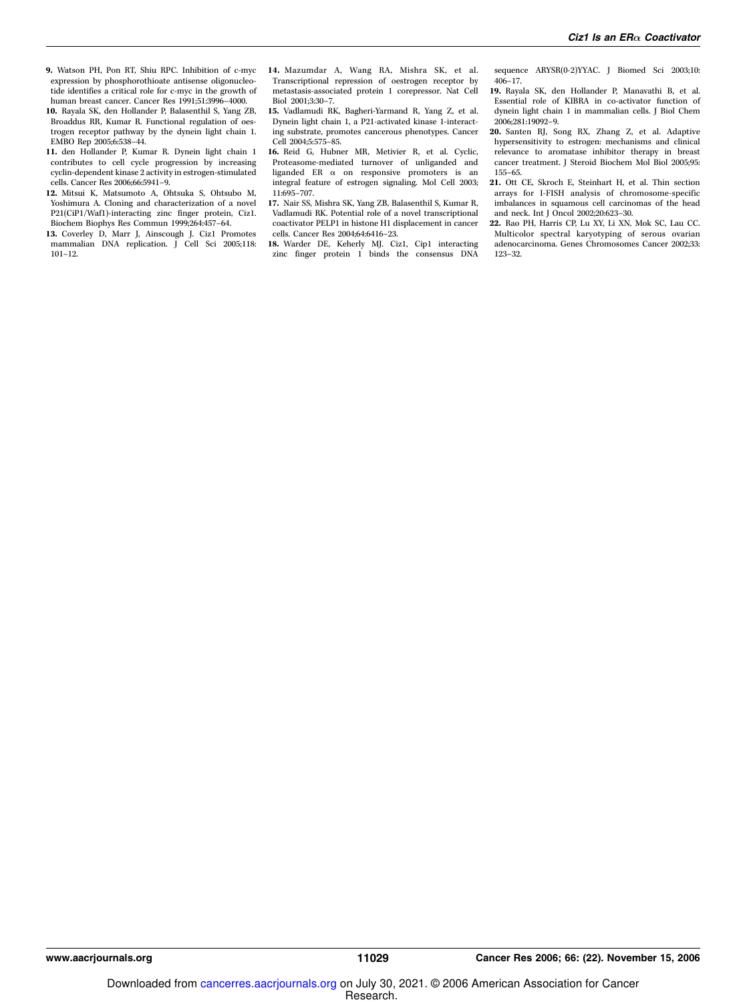- 9. Watson PH, Pon RT, Shiu RPC. Inhibition of c-myc expression by phosphorothioate antisense oligonucleotide identifies a critical role for c-myc in the growth of human breast cancer. Cancer Res 1991;51:3996–4000.
- 10. Rayala SK, den Hollander P, Balasenthil S, Yang ZB, Broaddus RR, Kumar R. Functional regulation of oestrogen receptor pathway by the dynein light chain 1. EMBO Rep 2005;6:538–44.
- 11. den Hollander P, Kumar R. Dynein light chain 1 contributes to cell cycle progression by increasing cyclin-dependent kinase 2 activity in estrogen-stimulated cells. Cancer Res 2006;66:5941–9.
- 12. Mitsui K, Matsumoto A, Ohtsuka S, Ohtsubo M, Yoshimura A. Cloning and characterization of a novel P21(CiP1/Waf1)-interacting zinc finger protein, Ciz1. Biochem Biophys Res Commun 1999;264:457–64.
- 13. Coverley D, Marr J, Ainscough J. Ciz1 Promotes mammalian DNA replication. J Cell Sci 2005;118: 101–12.
- 14. Mazumdar A, Wang RA, Mishra SK, et al. Transcriptional repression of oestrogen receptor by metastasis-associated protein 1 corepressor. Nat Cell Biol 2001;3:30–7.
- 15. Vadlamudi RK, Bagheri-Yarmand R, Yang Z, et al. Dynein light chain 1, a P21-activated kinase 1-interacting substrate, promotes cancerous phenotypes. Cancer Cell 2004;5:575–85.
- 16. Reid G, Hubner MR, Metivier R, et al. Cyclic, Proteasome-mediated turnover of unliganded and liganded ER $\alpha$  on responsive promoters is an integral feature of estrogen signaling. Mol Cell 2003; 11:695–707.
- 17. Nair SS, Mishra SK, Yang ZB, Balasenthil S, Kumar R, Vadlamudi RK. Potential role of a novel transcriptional coactivator PELP1 in histone H1 displacement in cancer cells. Cancer Res 2004;64:6416–23.
- 18. Warder DE, Keherly MJ. Ciz1, Cip1 interacting zinc finger protein 1 binds the consensus DNA

sequence ARYSR(0-2)YYAC. J Biomed Sci 2003;10: 406–17.

- 19. Rayala SK, den Hollander P, Manavathi B, et al. Essential role of KIBRA in co-activator function of dynein light chain 1 in mammalian cells. J Biol Chem 2006;281:19092–9.
- 20. Santen RJ, Song RX, Zhang Z, et al. Adaptive hypersensitivity to estrogen: mechanisms and clinical relevance to aromatase inhibitor therapy in breast cancer treatment. J Steroid Biochem Mol Biol 2005;95: 155–65.
- 21. Ott CE, Skroch E, Steinhart H, et al. Thin section arrays for I-FISH analysis of chromosome-specific imbalances in squamous cell carcinomas of the head and neck. Int J Oncol 2002;20:623–30.
- 22. Rao PH, Harris CP, Lu XY, Li XN, Mok SC, Lau CC. Multicolor spectral karyotyping of serous ovarian adenocarcinoma. Genes Chromosomes Cancer 2002;33: 123–32.